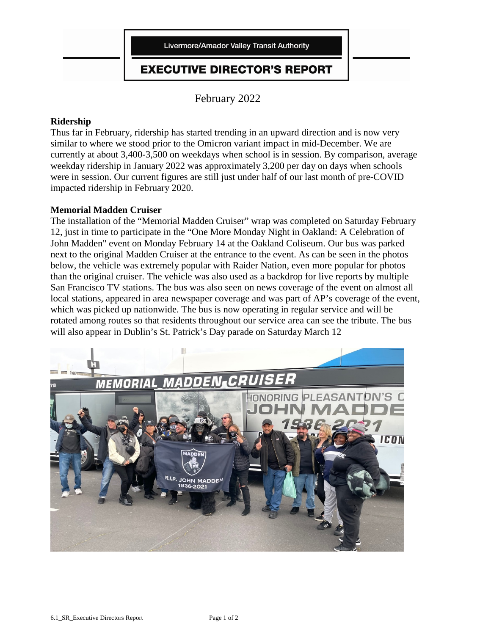

# **EXECUTIVE DIRECTOR'S REPORT**

February 2022

# **Ridership**

Thus far in February, ridership has started trending in an upward direction and is now very similar to where we stood prior to the Omicron variant impact in mid-December. We are currently at about 3,400-3,500 on weekdays when school is in session. By comparison, average weekday ridership in January 2022 was approximately 3,200 per day on days when schools were in session. Our current figures are still just under half of our last month of pre-COVID impacted ridership in February 2020.

## **Memorial Madden Cruiser**

The installation of the "Memorial Madden Cruiser" wrap was completed on Saturday February 12, just in time to participate in the "One More Monday Night in Oakland: A Celebration of John Madden" event on Monday February 14 at the Oakland Coliseum. Our bus was parked next to the original Madden Cruiser at the entrance to the event. As can be seen in the photos below, the vehicle was extremely popular with Raider Nation, even more popular for photos than the original cruiser. The vehicle was also used as a backdrop for live reports by multiple San Francisco TV stations. The bus was also seen on news coverage of the event on almost all local stations, appeared in area newspaper coverage and was part of AP's coverage of the event, which was picked up nationwide. The bus is now operating in regular service and will be rotated among routes so that residents throughout our service area can see the tribute. The bus will also appear in Dublin's St. Patrick's Day parade on Saturday March 12